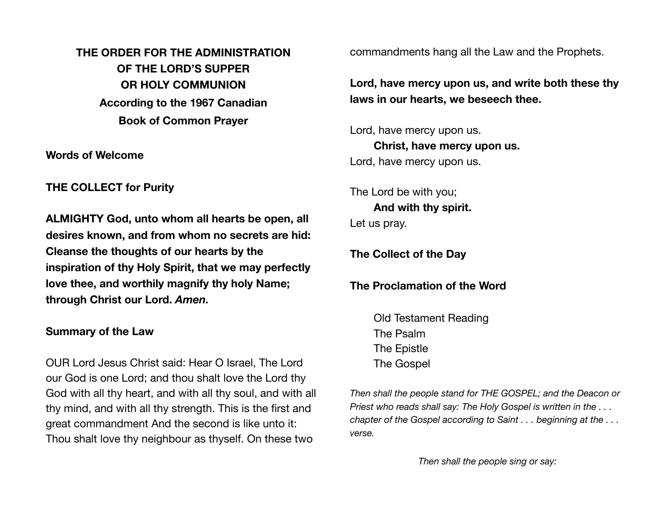**THE ORDER FOR THE ADMINISTRATION OF THE LORD'S SUPPER OR HOLY COMMUNION According to the 1967 Canadian Book of Common Prayer** 

**Words of Welcome** 

**THE COLLECT for Purity** 

**ALMIGHTY God, unto whom all hearts be open, all desires known, and from whom no secrets are hid: Cleanse the thoughts of our hearts by the inspiration of thy Holy Spirit, that we may perfectly love thee, and worthily magnify thy holy Name; through Christ our Lord.** *Amen.*

## **Summary of the Law**

OUR Lord Jesus Christ said: Hear O Israel, The Lord our God is one Lord; and thou shalt love the Lord thy God with all thy heart, and with all thy soul, and with all thy mind, and with all thy strength. This is the first and great commandment And the second is like unto it: Thou shalt love thy neighbour as thyself. On these two

commandments hang all the Law and the Prophets.

**Lord, have mercy upon us, and write both these thy laws in our hearts, we beseech thee.** 

Lord, have mercy upon us. **Christ, have mercy upon us.** Lord, have mercy upon us.

The Lord be with you; **And with thy spirit.** Let us pray.

**The Collect of the Day** 

**The Proclamation of the Word** 

Old Testament Reading The Psalm The Epistle The Gospel

*Then shall the people stand for THE GOSPEL; and the Deacon or Priest who reads shall say: The Holy Gospel is written in the . . . chapter of the Gospel according to Saint . . . beginning at the . . . verse.*

*Then shall the people sing or say:*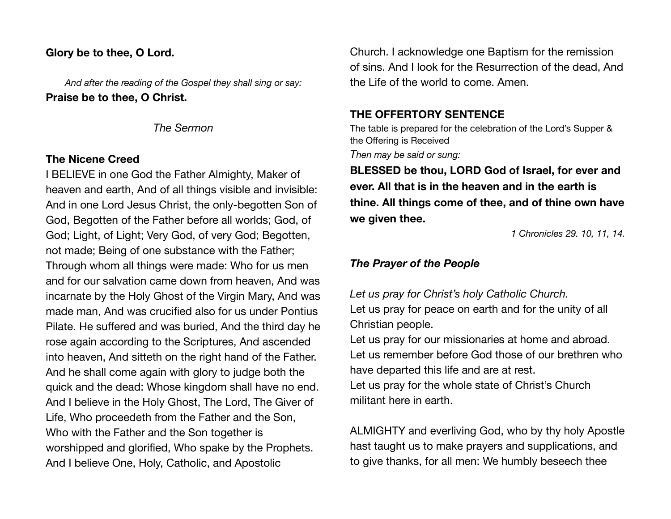## **Glory be to thee, O Lord.**

*And after the reading of the Gospel they shall sing or say:* **Praise be to thee, O Christ.** 

*The Sermon* 

## **The Nicene Creed**

I BELIEVE in one God the Father Almighty, Maker of heaven and earth, And of all things visible and invisible: And in one Lord Jesus Christ, the only-begotten Son of God, Begotten of the Father before all worlds; God, of God; Light, of Light; Very God, of very God; Begotten, not made; Being of one substance with the Father; Through whom all things were made: Who for us men and for our salvation came down from heaven, And was incarnate by the Holy Ghost of the Virgin Mary, And was made man, And was crucified also for us under Pontius Pilate. He suffered and was buried, And the third day he rose again according to the Scriptures, And ascended into heaven, And sitteth on the right hand of the Father. And he shall come again with glory to judge both the quick and the dead: Whose kingdom shall have no end. And I believe in the Holy Ghost, The Lord, The Giver of Life, Who proceedeth from the Father and the Son, Who with the Father and the Son together is worshipped and glorified, Who spake by the Prophets. And I believe One, Holy, Catholic, and Apostolic

Church. I acknowledge one Baptism for the remission of sins. And I look for the Resurrection of the dead, And the Life of the world to come. Amen.

# **THE OFFERTORY SENTENCE**

The table is prepared for the celebration of the Lord's Supper & the Offering is Received

*Then may be said or sung:*

**BLESSED be thou, LORD God of Israel, for ever and ever. All that is in the heaven and in the earth is thine. All things come of thee, and of thine own have we given thee.** 

*1 Chronicles 29. 10, 11, 14.*

# *The Prayer of the People*

*Let us pray for Christ's holy Catholic Church.* 

Let us pray for peace on earth and for the unity of all Christian people.

Let us pray for our missionaries at home and abroad. Let us remember before God those of our brethren who have departed this life and are at rest.

Let us pray for the whole state of Christ's Church militant here in earth.

ALMIGHTY and everliving God, who by thy holy Apostle hast taught us to make prayers and supplications, and to give thanks, for all men: We humbly beseech thee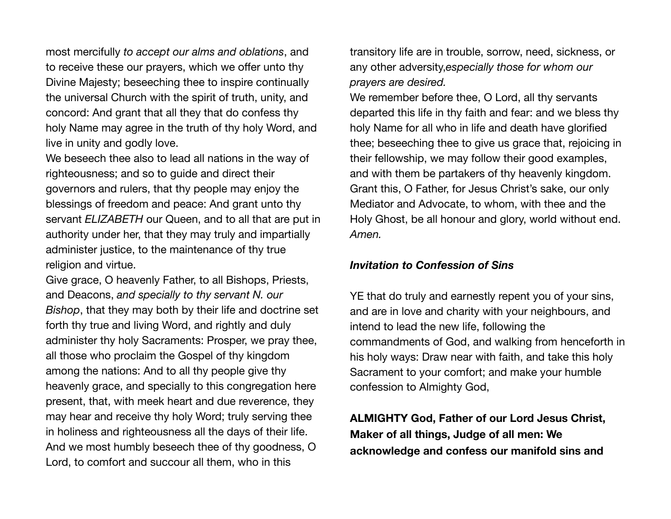most mercifully *to accept our alms and oblations*, and to receive these our prayers, which we offer unto thy Divine Majesty; beseeching thee to inspire continually the universal Church with the spirit of truth, unity, and concord: And grant that all they that do confess thy holy Name may agree in the truth of thy holy Word, and live in unity and godly love.

We beseech thee also to lead all nations in the way of righteousness; and so to guide and direct their governors and rulers, that thy people may enjoy the blessings of freedom and peace: And grant unto thy servant *ELIZABETH* our Queen, and to all that are put in authority under her, that they may truly and impartially administer justice, to the maintenance of thy true religion and virtue.

Give grace, O heavenly Father, to all Bishops, Priests, and Deacons, *and specially to thy servant N. our Bishop*, that they may both by their life and doctrine set forth thy true and living Word, and rightly and duly administer thy holy Sacraments: Prosper, we pray thee, all those who proclaim the Gospel of thy kingdom among the nations: And to all thy people give thy heavenly grace, and specially to this congregation here present, that, with meek heart and due reverence, they may hear and receive thy holy Word; truly serving thee in holiness and righteousness all the days of their life. And we most humbly beseech thee of thy goodness, O Lord, to comfort and succour all them, who in this

transitory life are in trouble, sorrow, need, sickness, or any other adversity,*especially those for whom our prayers are desired.*

We remember before thee, O Lord, all thy servants departed this life in thy faith and fear: and we bless thy holy Name for all who in life and death have glorified thee; beseeching thee to give us grace that, rejoicing in their fellowship, we may follow their good examples, and with them be partakers of thy heavenly kingdom. Grant this, O Father, for Jesus Christ's sake, our only Mediator and Advocate, to whom, with thee and the Holy Ghost, be all honour and glory, world without end. *Amen.*

#### *Invitation to Confession of Sins*

YE that do truly and earnestly repent you of your sins, and are in love and charity with your neighbours, and intend to lead the new life, following the commandments of God, and walking from henceforth in his holy ways: Draw near with faith, and take this holy Sacrament to your comfort; and make your humble confession to Almighty God,

**ALMIGHTY God, Father of our Lord Jesus Christ, Maker of all things, Judge of all men: We acknowledge and confess our manifold sins and**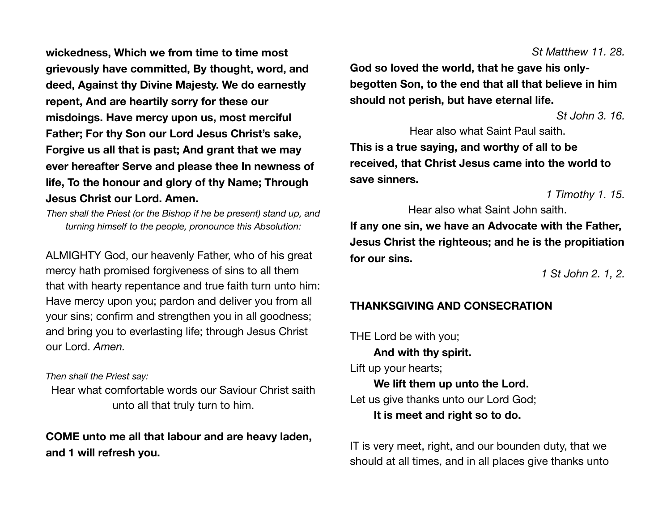**wickedness, Which we from time to time most grievously have committed, By thought, word, and deed, Against thy Divine Majesty. We do earnestly repent, And are heartily sorry for these our misdoings. Have mercy upon us, most merciful Father; For thy Son our Lord Jesus Christ's sake, Forgive us all that is past; And grant that we may ever hereafter Serve and please thee In newness of life, To the honour and glory of thy Name; Through Jesus Christ our Lord. Amen.** 

*Then shall the Priest (or the Bishop if he be present) stand up, and turning himself to the people, pronounce this Absolution:*

ALMIGHTY God, our heavenly Father, who of his great mercy hath promised forgiveness of sins to all them that with hearty repentance and true faith turn unto him: Have mercy upon you; pardon and deliver you from all your sins; confirm and strengthen you in all goodness; and bring you to everlasting life; through Jesus Christ our Lord. *Amen.*

#### *Then shall the Priest say:*

Hear what comfortable words our Saviour Christ saith unto all that truly turn to him.

**COME unto me all that labour and are heavy laden, and 1 will refresh you.** 

**God so loved the world, that he gave his onlybegotten Son, to the end that all that believe in him should not perish, but have eternal life.** 

*St John 3. 16.*

Hear also what Saint Paul saith. **This is a true saying, and worthy of all to be received, that Christ Jesus came into the world to save sinners.** 

*1 Timothy 1. 15.*

Hear also what Saint John saith.

**If any one sin, we have an Advocate with the Father, Jesus Christ the righteous; and he is the propitiation for our sins.** 

*1 St John 2. 1, 2.*

# **THANKSGIVING AND CONSECRATION**

THE Lord be with you; **And with thy spirit.** Lift up your hearts; **We lift them up unto the Lord.** Let us give thanks unto our Lord God; **It is meet and right so to do.**

IT is very meet, right, and our bounden duty, that we should at all times, and in all places give thanks unto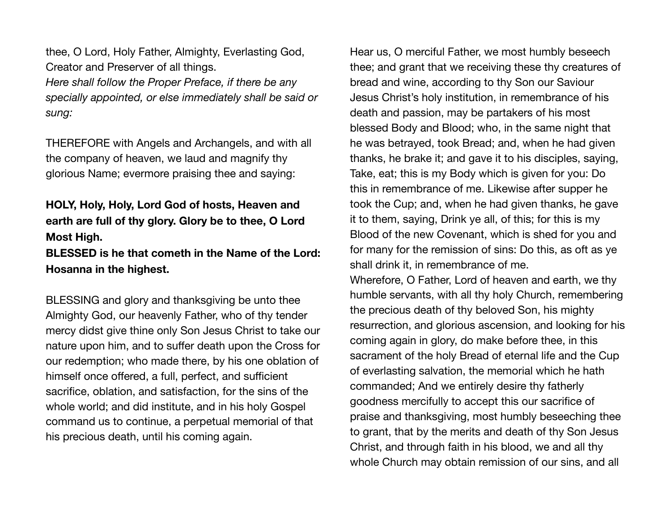thee, O Lord, Holy Father, Almighty, Everlasting God, Creator and Preserver of all things. *Here shall follow the Proper Preface, if there be any specially appointed, or else immediately shall be said or sung:*

THEREFORE with Angels and Archangels, and with all the company of heaven, we laud and magnify thy glorious Name; evermore praising thee and saying:

# **HOLY, Holy, Holy, Lord God of hosts, Heaven and earth are full of thy glory. Glory be to thee, O Lord Most High.**

# **BLESSED is he that cometh in the Name of the Lord: Hosanna in the highest.**

BLESSING and glory and thanksgiving be unto thee Almighty God, our heavenly Father, who of thy tender mercy didst give thine only Son Jesus Christ to take our nature upon him, and to suffer death upon the Cross for our redemption; who made there, by his one oblation of himself once offered, a full, perfect, and sufficient sacrifice, oblation, and satisfaction, for the sins of the whole world; and did institute, and in his holy Gospel command us to continue, a perpetual memorial of that his precious death, until his coming again.

Hear us, O merciful Father, we most humbly beseech thee; and grant that we receiving these thy creatures of bread and wine, according to thy Son our Saviour Jesus Christ's holy institution, in remembrance of his death and passion, may be partakers of his most blessed Body and Blood; who, in the same night that he was betrayed, took Bread; and, when he had given thanks, he brake it; and gave it to his disciples, saying, Take, eat; this is my Body which is given for you: Do this in remembrance of me. Likewise after supper he took the Cup; and, when he had given thanks, he gave it to them, saying, Drink ye all, of this; for this is my Blood of the new Covenant, which is shed for you and for many for the remission of sins: Do this, as oft as ye shall drink it, in remembrance of me.

Wherefore, O Father, Lord of heaven and earth, we thy humble servants, with all thy holy Church, remembering the precious death of thy beloved Son, his mighty resurrection, and glorious ascension, and looking for his coming again in glory, do make before thee, in this sacrament of the holy Bread of eternal life and the Cup of everlasting salvation, the memorial which he hath commanded; And we entirely desire thy fatherly goodness mercifully to accept this our sacrifice of praise and thanksgiving, most humbly beseeching thee to grant, that by the merits and death of thy Son Jesus Christ, and through faith in his blood, we and all thy whole Church may obtain remission of our sins, and all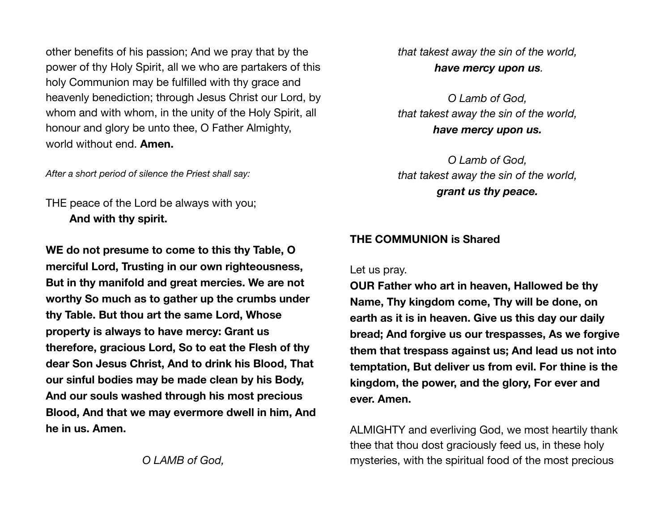other benefits of his passion; And we pray that by the power of thy Holy Spirit, all we who are partakers of this holy Communion may be fulfilled with thy grace and heavenly benediction; through Jesus Christ our Lord, by whom and with whom, in the unity of the Holy Spirit, all honour and glory be unto thee, O Father Almighty, world without end. **Amen.**

*After a short period of silence the Priest shall say:*

THE peace of the Lord be always with you; **And with thy spirit.**

**WE do not presume to come to this thy Table, O merciful Lord, Trusting in our own righteousness, But in thy manifold and great mercies. We are not worthy So much as to gather up the crumbs under thy Table. But thou art the same Lord, Whose property is always to have mercy: Grant us therefore, gracious Lord, So to eat the Flesh of thy dear Son Jesus Christ, And to drink his Blood, That our sinful bodies may be made clean by his Body, And our souls washed through his most precious Blood, And that we may evermore dwell in him, And he in us. Amen.** 

*O LAMB of God,* 

*that takest away the sin of the world, have mercy upon us.*

*O Lamb of God, that takest away the sin of the world, have mercy upon us.*

*O Lamb of God, that takest away the sin of the world, grant us thy peace.* 

### **THE COMMUNION is Shared**

Let us pray.

**OUR Father who art in heaven, Hallowed be thy Name, Thy kingdom come, Thy will be done, on earth as it is in heaven. Give us this day our daily bread; And forgive us our trespasses, As we forgive them that trespass against us; And lead us not into temptation, But deliver us from evil. For thine is the kingdom, the power, and the glory, For ever and ever. Amen.** 

ALMIGHTY and everliving God, we most heartily thank thee that thou dost graciously feed us, in these holy mysteries, with the spiritual food of the most precious